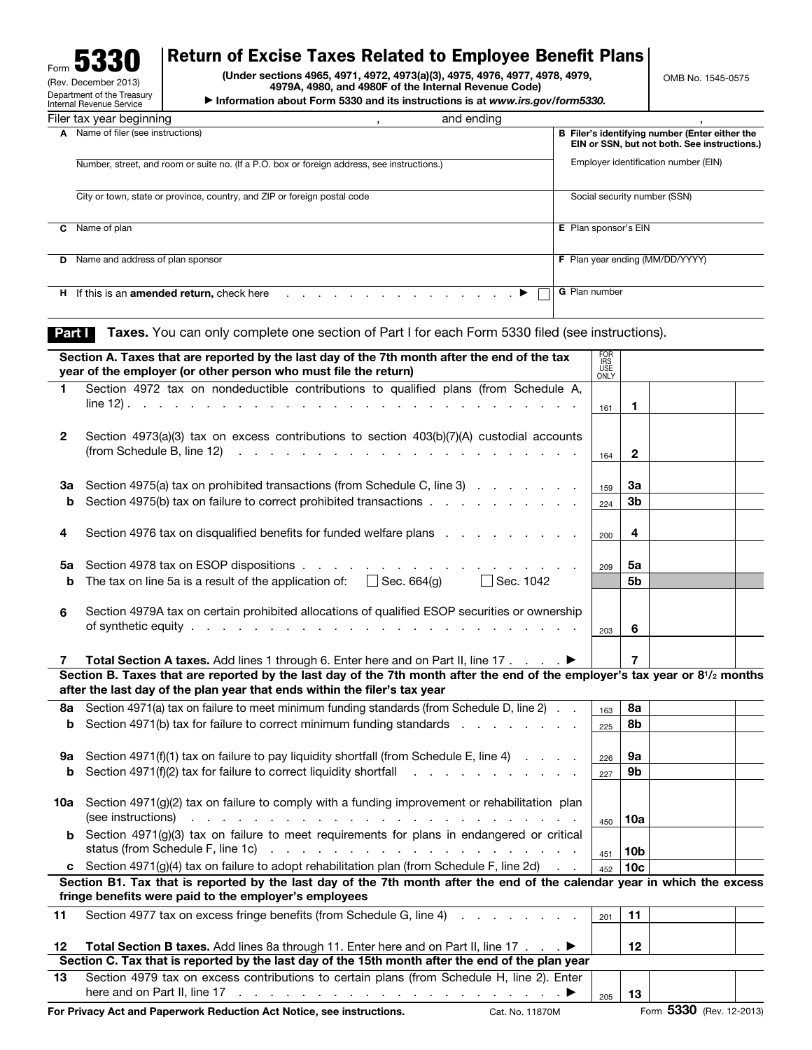| J.<br>Form                                                    |  |
|---------------------------------------------------------------|--|
| (Rev. December 2013)                                          |  |
| Department of the Treasury<br><b>Internal Revenue Service</b> |  |
|                                                               |  |

## Return of Excise Taxes Related to Employee Benefit Plans

(Under sections 4965, 4971, 4972, 4973(a)(3), 4975, 4976, 4977, 4978, 4979, 4979A, 4980, and 4980F of the Internal Revenue Code)

▶ Information about Form 5330 and its instructions is at *www.irs.gov/form5330.*

|    | Filer tax year beginning                                                                                           | and ending |                                                                                                |
|----|--------------------------------------------------------------------------------------------------------------------|------------|------------------------------------------------------------------------------------------------|
|    | A Name of filer (see instructions)                                                                                 |            | B Filer's identifying number (Enter either the<br>EIN or SSN, but not both. See instructions.) |
|    | Number, street, and room or suite no. (If a P.O. box or foreign address, see instructions.)                        |            | Employer identification number (EIN)                                                           |
|    | City or town, state or province, country, and ZIP or foreign postal code                                           |            | Social security number (SSN)                                                                   |
| С  | Name of plan                                                                                                       |            | <b>E</b> Plan sponsor's EIN                                                                    |
| D. | Name and address of plan sponsor                                                                                   |            | F Plan year ending (MM/DD/YYYY)                                                                |
| н. | If this is an <b>amended return</b> , check here $\ldots$ , $\ldots$ , $\ldots$ , $\ldots$ , $\blacktriangleright$ |            | <b>G</b> Plan number                                                                           |

Part I Taxes. You can only complete one section of Part I for each Form 5330 filed (see instructions).

|     | Section A. Taxes that are reported by the last day of the 7th month after the end of the tax<br>year of the employer (or other person who must file the return)                                                       | <b>FOR</b><br><b>IRS</b><br>USE<br>ONLY |                 |  |
|-----|-----------------------------------------------------------------------------------------------------------------------------------------------------------------------------------------------------------------------|-----------------------------------------|-----------------|--|
| 1   | Section 4972 tax on nondeductible contributions to qualified plans (from Schedule A,<br>$line 12.$<br>the contract of the contract of the contract of the contract of the contract of the contract of the contract of | 161                                     | 1               |  |
|     |                                                                                                                                                                                                                       |                                         |                 |  |
| 2   | Section 4973(a)(3) tax on excess contributions to section 403(b)(7)(A) custodial accounts                                                                                                                             |                                         |                 |  |
|     | (from Schedule B, line 12) $\cdots$ $\cdots$ $\cdots$ $\cdots$ $\cdots$ $\cdots$ $\cdots$ $\cdots$ $\cdots$                                                                                                           | 164                                     | $\mathbf{2}$    |  |
|     |                                                                                                                                                                                                                       |                                         |                 |  |
| За  | Section 4975(a) tax on prohibited transactions (from Schedule C, line 3)                                                                                                                                              | 159                                     | За              |  |
| b   | Section 4975(b) tax on failure to correct prohibited transactions                                                                                                                                                     | 224                                     | 3 <sub>b</sub>  |  |
|     |                                                                                                                                                                                                                       |                                         |                 |  |
| 4   | Section 4976 tax on disqualified benefits for funded welfare plans                                                                                                                                                    | 200                                     | 4               |  |
|     |                                                                                                                                                                                                                       |                                         |                 |  |
| 5a  | Section 4978 tax on ESOP dispositions                                                                                                                                                                                 | 209                                     | 5a              |  |
| b   | The tax on line 5a is a result of the application of: $\Box$ Sec. 664(g) $\Box$ Sec. 1042                                                                                                                             |                                         | 5b              |  |
|     |                                                                                                                                                                                                                       |                                         |                 |  |
| 6   | Section 4979A tax on certain prohibited allocations of qualified ESOP securities or ownership                                                                                                                         |                                         |                 |  |
|     |                                                                                                                                                                                                                       | 203                                     | 6               |  |
|     |                                                                                                                                                                                                                       |                                         |                 |  |
| 7   | Total Section A taxes. Add lines 1 through 6. Enter here and on Part II, line 17                                                                                                                                      |                                         | 7               |  |
|     | Section B. Taxes that are reported by the last day of the 7th month after the end of the employer's tax year or 8 <sup>1</sup> /2 months                                                                              |                                         |                 |  |
|     | after the last day of the plan year that ends within the filer's tax year                                                                                                                                             |                                         |                 |  |
| 8a  | Section 4971(a) tax on failure to meet minimum funding standards (from Schedule D, line 2)                                                                                                                            | 163                                     | 8а              |  |
| b   | Section 4971(b) tax for failure to correct minimum funding standards                                                                                                                                                  | 225                                     | 8b              |  |
|     |                                                                                                                                                                                                                       |                                         |                 |  |
| 9а  | Section $4971(f)(1)$ tax on failure to pay liquidity shortfall (from Schedule E, line 4) $\ldots$                                                                                                                     | 226                                     | 9а              |  |
| b   | Section 4971(f)(2) tax for failure to correct liquidity shortfall $\ldots$ , $\ldots$ , $\ldots$                                                                                                                      | 227                                     | 9b              |  |
|     |                                                                                                                                                                                                                       |                                         |                 |  |
| 10a | Section 4971(g)(2) tax on failure to comply with a funding improvement or rehabilitation plan                                                                                                                         |                                         |                 |  |
|     |                                                                                                                                                                                                                       | 450                                     | 10a             |  |
| b.  | Section 4971(g)(3) tax on failure to meet requirements for plans in endangered or critical                                                                                                                            |                                         |                 |  |
|     |                                                                                                                                                                                                                       | 451                                     | 10 <sub>b</sub> |  |
|     | c Section 4971(g)(4) tax on failure to adopt rehabilitation plan (from Schedule F, line 2d).                                                                                                                          | 452                                     | 10 <sub>c</sub> |  |
|     | Section B1. Tax that is reported by the last day of the 7th month after the end of the calendar year in which the excess<br>fringe benefits were paid to the employer's employees                                     |                                         |                 |  |
| 11  | Section 4977 tax on excess fringe benefits (from Schedule G, line 4) Allen Lines and Schedule A, Inc. 2014                                                                                                            | 201                                     | 11              |  |
|     |                                                                                                                                                                                                                       |                                         |                 |  |
| 12  | Total Section B taxes. Add lines 8a through 11. Enter here and on Part II, line 17 ▶                                                                                                                                  |                                         | 12 <sup>2</sup> |  |
|     | Section C. Tax that is reported by the last day of the 15th month after the end of the plan year                                                                                                                      |                                         |                 |  |
| 13  | Section 4979 tax on excess contributions to certain plans (from Schedule H, line 2). Enter                                                                                                                            |                                         |                 |  |
|     | here and on Part II, line 17 $\ldots$ $\ldots$ $\ldots$ $\ldots$ $\ldots$ $\ldots$ $\ldots$ $\ldots$ $\ldots$                                                                                                         | 205                                     | 13              |  |

For Privacy Act and Paperwork Reduction Act Notice, see instructions. Cat. No. 11870M Form 5330 (Rev. 12-2013)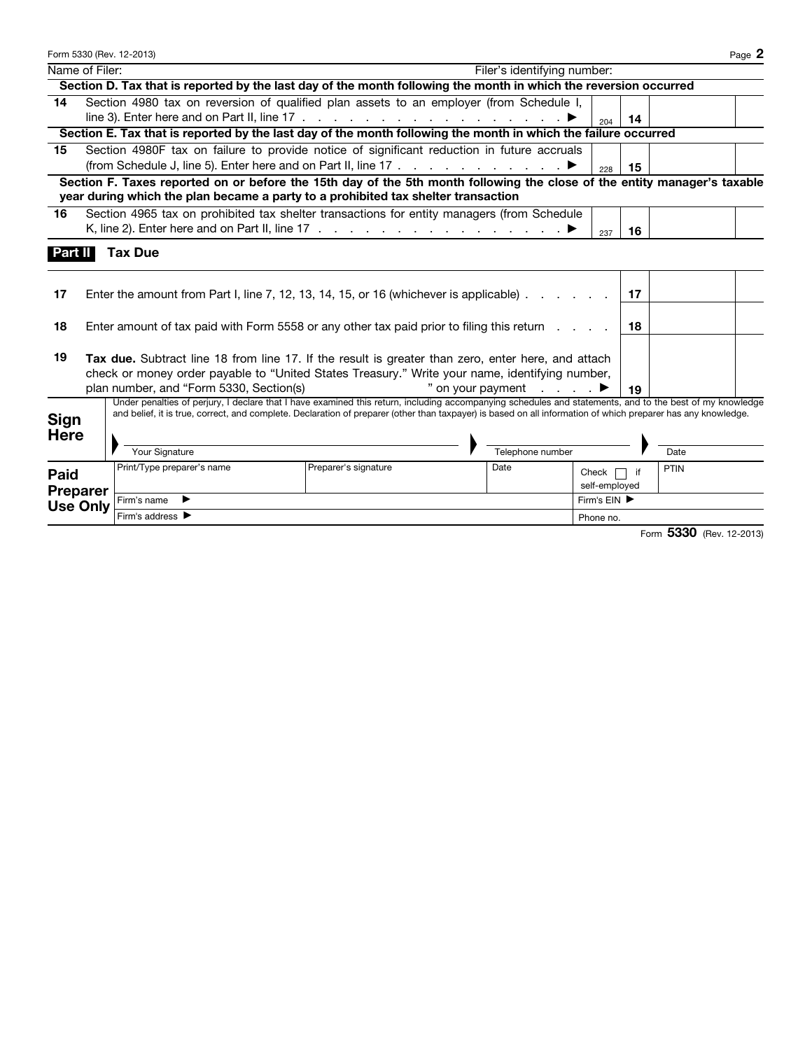|                     |                | Form 5330 (Rev. 12-2013)                                                                                                                                                                                                                                                                                                                    |                      |                                                   |                        |    |      | Page 2 |
|---------------------|----------------|---------------------------------------------------------------------------------------------------------------------------------------------------------------------------------------------------------------------------------------------------------------------------------------------------------------------------------------------|----------------------|---------------------------------------------------|------------------------|----|------|--------|
|                     | Name of Filer: |                                                                                                                                                                                                                                                                                                                                             |                      | Filer's identifying number:                       |                        |    |      |        |
|                     |                | Section D. Tax that is reported by the last day of the month following the month in which the reversion occurred                                                                                                                                                                                                                            |                      |                                                   |                        |    |      |        |
| 14                  |                | Section 4980 tax on reversion of qualified plan assets to an employer (from Schedule I,                                                                                                                                                                                                                                                     |                      |                                                   |                        |    |      |        |
|                     |                | line 3). Enter here and on Part II, line $17 \ldots \ldots \ldots \ldots \ldots \ldots \ldots \ldots$                                                                                                                                                                                                                                       |                      |                                                   | 204                    | 14 |      |        |
|                     |                | Section E. Tax that is reported by the last day of the month following the month in which the failure occurred                                                                                                                                                                                                                              |                      |                                                   |                        |    |      |        |
| 15                  |                | Section 4980F tax on failure to provide notice of significant reduction in future accruals                                                                                                                                                                                                                                                  |                      |                                                   |                        |    |      |        |
|                     |                | (from Schedule J, line 5). Enter here and on Part II, line 17 $\ldots$ $\ldots$ $\ldots$ $\ldots$                                                                                                                                                                                                                                           |                      |                                                   | 228                    | 15 |      |        |
|                     |                | Section F. Taxes reported on or before the 15th day of the 5th month following the close of the entity manager's taxable                                                                                                                                                                                                                    |                      |                                                   |                        |    |      |        |
|                     |                | year during which the plan became a party to a prohibited tax shelter transaction                                                                                                                                                                                                                                                           |                      |                                                   |                        |    |      |        |
| 16                  |                | Section 4965 tax on prohibited tax shelter transactions for entity managers (from Schedule                                                                                                                                                                                                                                                  |                      |                                                   |                        |    |      |        |
|                     |                | K, line 2). Enter here and on Part II, line 17 $\ldots$ $\ldots$ $\ldots$ $\ldots$ $\ldots$ $\ldots$                                                                                                                                                                                                                                        |                      |                                                   | 237                    | 16 |      |        |
| 17                  |                | Enter the amount from Part I, line 7, 12, 13, 14, 15, or 16 (whichever is applicable). $\ldots$                                                                                                                                                                                                                                             |                      |                                                   |                        | 17 |      |        |
| 18                  |                | Enter amount of tax paid with Form 5558 or any other tax paid prior to filing this return                                                                                                                                                                                                                                                   |                      |                                                   |                        | 18 |      |        |
| 19                  |                | Tax due. Subtract line 18 from line 17. If the result is greater than zero, enter here, and attach<br>check or money order payable to "United States Treasury." Write your name, identifying number,<br>plan number, and "Form 5330, Section(s)                                                                                             |                      | " on your payment $\qquad \qquad$ $\qquad \qquad$ |                        | 19 |      |        |
| Sign<br><b>Here</b> |                | Under penalties of perjury, I declare that I have examined this return, including accompanying schedules and statements, and to the best of my knowledge<br>and belief, it is true, correct, and complete. Declaration of preparer (other than taxpayer) is based on all information of which preparer has any knowledge.<br>Your Signature |                      | Telephone number                                  |                        |    | Date |        |
| Paid                | Dranarar       | Print/Type preparer's name                                                                                                                                                                                                                                                                                                                  | Preparer's signature | Date                                              | Check<br>self-employed | if | PTIN |        |

Use Only Firm's name ▶ Firm's EIN ▶

Firm's address▶ Phone no.

Preparer

Form 5330 (Rev. 12-2013)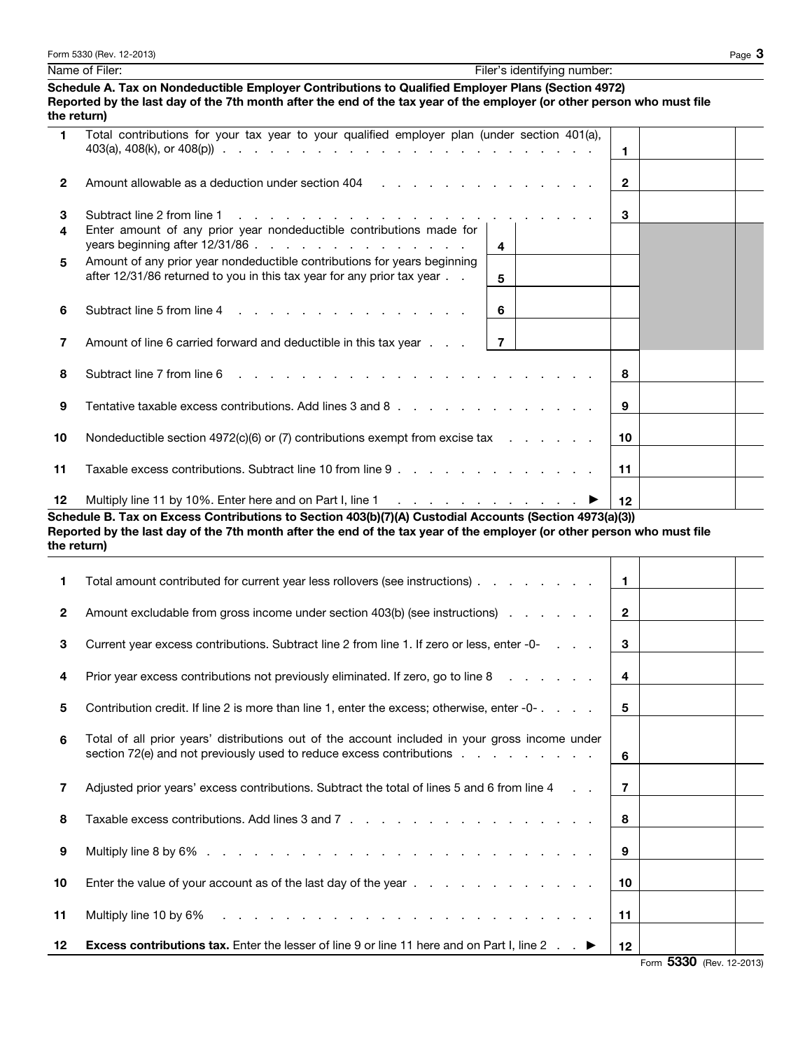|                | Form 5330 (Rev. 12-2013)                                                                                                                                                                                                                    |                                   |              | Page $3$ |
|----------------|---------------------------------------------------------------------------------------------------------------------------------------------------------------------------------------------------------------------------------------------|-----------------------------------|--------------|----------|
|                | Name of Filer:                                                                                                                                                                                                                              | Filer's identifying number:       |              |          |
|                | Schedule A. Tax on Nondeductible Employer Contributions to Qualified Employer Plans (Section 4972)<br>Reported by the last day of the 7th month after the end of the tax year of the employer (or other person who must file<br>the return) |                                   |              |          |
| $\blacksquare$ | Total contributions for your tax year to your qualified employer plan (under section 401(a),                                                                                                                                                |                                   | 1.           |          |
| $\mathbf{2}$   | Amount allowable as a deduction under section $404$ , et al., et al., et al., et al., et al., et al., et al., et al., et al., et al., et al., et al., et al., et al., et al., et al., et al., et al., et al., et al., et al.,               |                                   | $\mathbf{2}$ |          |
| 3              | Subtract line 2 from line 1                                                                                                                                                                                                                 |                                   | 3            |          |
| 4              | Enter amount of any prior year nondeductible contributions made for                                                                                                                                                                         | $\overline{\mathbf{4}}$           |              |          |
| 5              | Amount of any prior year nondeductible contributions for years beginning<br>after 12/31/86 returned to you in this tax year for any prior tax year                                                                                          | 5                                 |              |          |
| 6              | Subtract line 5 from line 4                                                                                                                                                                                                                 | 6                                 |              |          |
| 7              | Amount of line 6 carried forward and deductible in this tax year                                                                                                                                                                            | $\overline{7}$                    |              |          |
| 8              | Subtract line 7 from line 6                                                                                                                                                                                                                 |                                   | 8            |          |
| 9              | Tentative taxable excess contributions. Add lines 3 and 8                                                                                                                                                                                   |                                   | 9            |          |
| 10             | Nondeductible section $4972(c)(6)$ or (7) contributions exempt from excise tax $\ldots$ .                                                                                                                                                   |                                   | 10           |          |
| 11             | Taxable excess contributions. Subtract line 10 from line 9                                                                                                                                                                                  |                                   | 11           |          |
| 12             | Multiply line 11 by 10%. Enter here and on Part I, line 1                                                                                                                                                                                   | a se a caractería a caractería. ≯ | 12           |          |

Schedule B. Tax on Excess Contributions to Section 403(b)(7)(A) Custodial Accounts (Section 4973(a)(3)) Reported by the last day of the 7th month after the end of the tax year of the employer (or other person who must file the return)

|              | Total amount contributed for current year less rollovers (see instructions)                                                                                            | $\blacksquare$  |              |  |
|--------------|------------------------------------------------------------------------------------------------------------------------------------------------------------------------|-----------------|--------------|--|
| $\mathbf{2}$ | Amount excludable from gross income under section 403(b) (see instructions)                                                                                            | $\mathbf{2}$    |              |  |
| 3            | Current year excess contributions. Subtract line 2 from line 1. If zero or less, enter -0-                                                                             | 3               |              |  |
| 4            | Prior year excess contributions not previously eliminated. If zero, go to line 8                                                                                       | 4               |              |  |
| 5            | Contribution credit. If line 2 is more than line 1, enter the excess; otherwise, enter -0-                                                                             | 5               |              |  |
| 6            | Total of all prior years' distributions out of the account included in your gross income under<br>section 72(e) and not previously used to reduce excess contributions | 6               |              |  |
| 7            | Adjusted prior years' excess contributions. Subtract the total of lines 5 and 6 from line 4<br>$\mathcal{L} = \mathcal{L}$                                             | $\overline{7}$  |              |  |
| 8            |                                                                                                                                                                        | 8               |              |  |
| 9            |                                                                                                                                                                        | 9               |              |  |
| 10           |                                                                                                                                                                        | 10              |              |  |
| 11           | Multiply line 10 by 6%                                                                                                                                                 | 11              |              |  |
| 12           | <b>Excess contributions tax.</b> Enter the lesser of line 9 or line 11 here and on Part I, line 2 $\blacksquare$                                                       | 12 <sup>2</sup> | $\mathbf{r}$ |  |

Form 5330 (Rev. 12-2013)

 $\overline{\mathsf{I}}$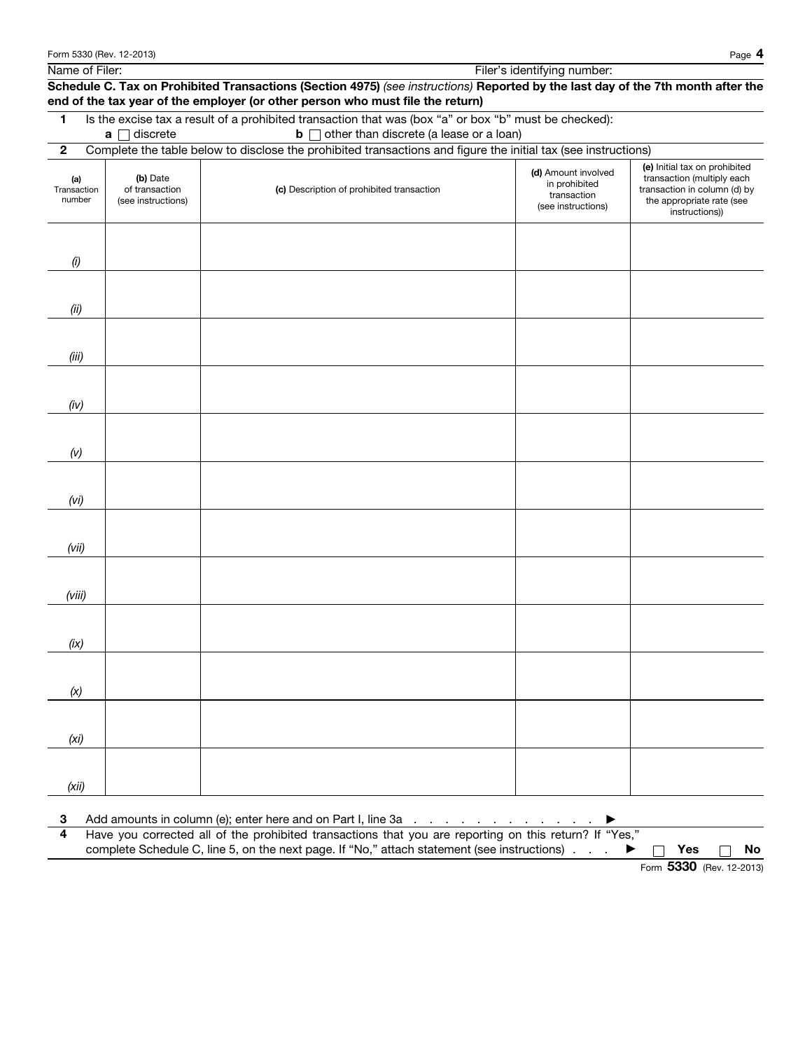Name of Filer: Filer's identifying number:

Schedule C. Tax on Prohibited Transactions (Section 4975) *(see instructions)* Reported by the last day of the 7th month after the end of the tax year of the employer (or other person who must file the return)

1 Is the excise tax a result of a prohibited transaction that was (box "a" or box "b" must be checked):

**a** discrete **b** other than discrete (a lease or a loan)

| (a)<br>Transaction<br>number | (b) Date<br>of transaction<br>(see instructions) | (c) Description of prohibited transaction | (d) Amount involved<br>in prohibited<br>transaction<br>(see instructions) | (e) Initial tax on prohibited<br>transaction (multiply each<br>transaction in column (d) by<br>the appropriate rate (see<br>instructions)) |
|------------------------------|--------------------------------------------------|-------------------------------------------|---------------------------------------------------------------------------|--------------------------------------------------------------------------------------------------------------------------------------------|
| $\left( i\right)$            |                                                  |                                           |                                                                           |                                                                                                                                            |
|                              |                                                  |                                           |                                                                           |                                                                                                                                            |
| (ii)                         |                                                  |                                           |                                                                           |                                                                                                                                            |
| (iii)                        |                                                  |                                           |                                                                           |                                                                                                                                            |
| (iv)                         |                                                  |                                           |                                                                           |                                                                                                                                            |
| (V)                          |                                                  |                                           |                                                                           |                                                                                                                                            |
| (vi)                         |                                                  |                                           |                                                                           |                                                                                                                                            |
| (vii)                        |                                                  |                                           |                                                                           |                                                                                                                                            |
| (viii)                       |                                                  |                                           |                                                                           |                                                                                                                                            |
| (ix)                         |                                                  |                                           |                                                                           |                                                                                                                                            |
| (x)                          |                                                  |                                           |                                                                           |                                                                                                                                            |
| (x <sub>i</sub> )            |                                                  |                                           |                                                                           |                                                                                                                                            |
|                              |                                                  |                                           |                                                                           |                                                                                                                                            |
| (xii)                        |                                                  |                                           |                                                                           |                                                                                                                                            |

4 Have you corrected all of the prohibited transactions that you are reporting on this return? If "Yes," complete Schedule C, line 5, on the next page. If "No," attach statement (see instructions)  $\ldots$   $\blacktriangleright \Box$  Yes  $\Box$  No

Form **5330** (Rev. 12-2013)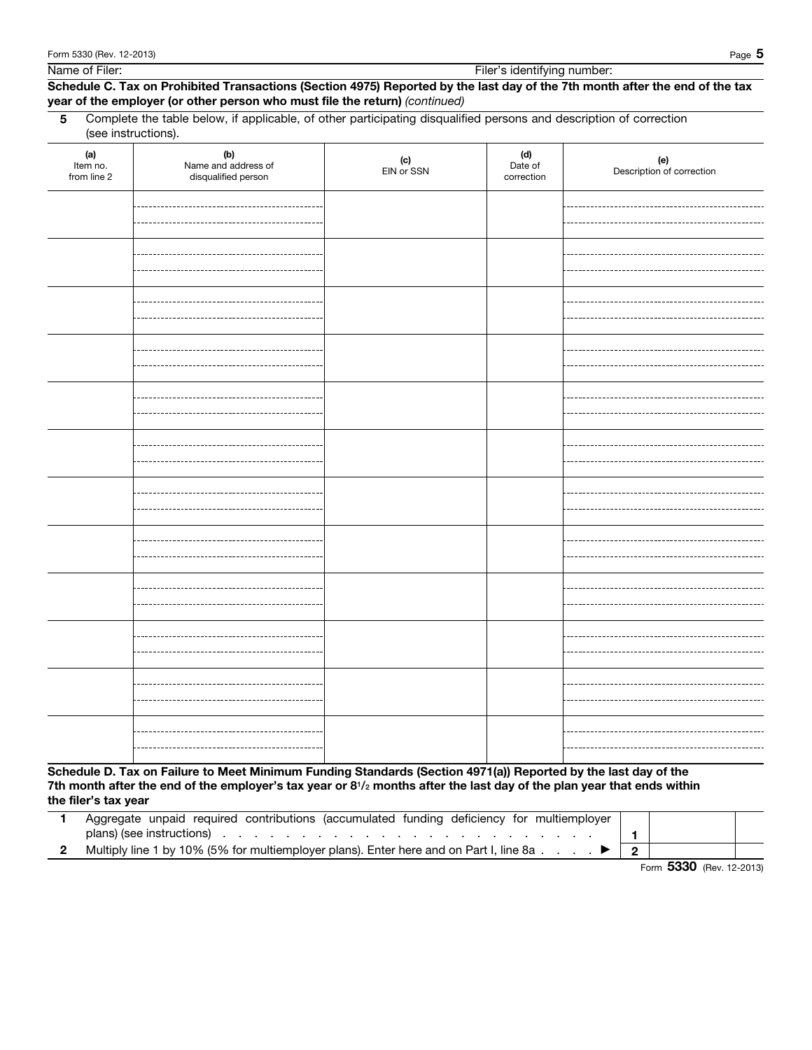Name of Filer: Filer's identifying number:

## Schedule C. Tax on Prohibited Transactions (Section 4975) Reported by the last day of the 7th month after the end of the tax year of the employer (or other person who must file the return) *(continued)*

5 Complete the table below, if applicable, of other participating disqualified persons and description of correction (see instructions).

| $(a)$<br>Item no.<br>from line 2 | (b)<br>Name and address of<br>disqualified person | $(c)$<br>EIN or SSN | (d)<br>Date of<br>correction | (e)<br>Description of correction |
|----------------------------------|---------------------------------------------------|---------------------|------------------------------|----------------------------------|
|                                  |                                                   |                     |                              |                                  |
|                                  |                                                   |                     |                              |                                  |
|                                  |                                                   |                     |                              |                                  |
|                                  |                                                   |                     |                              |                                  |
|                                  |                                                   |                     |                              |                                  |
|                                  |                                                   |                     |                              |                                  |
|                                  |                                                   |                     |                              |                                  |
|                                  |                                                   |                     |                              |                                  |
|                                  |                                                   |                     |                              |                                  |
|                                  |                                                   |                     |                              |                                  |
|                                  |                                                   |                     |                              |                                  |
|                                  |                                                   |                     |                              |                                  |

Schedule D. Tax on Failure to Meet Minimum Funding Standards (Section 4971(a)) Reported by the last day of the 7th month after the end of the employer's tax year or  $8^{1}/2$  months after the last day of the plan year that ends within the filer's tax year

| Aggregate unpaid required contributions (accumulated funding deficiency for multiemployer                                                                                                                                      |  |
|--------------------------------------------------------------------------------------------------------------------------------------------------------------------------------------------------------------------------------|--|
| plans) (see instructions) entering the contract of the contract of the contract of the contract of the contract of the contract of the contract of the contract of the contract of the contract of the contract of the contrac |  |
| 2 Multiply line 1 by 10% (5% for multiemployer plans). Enter here and on Part I, line 8a $\dots$ $\blacktriangleright$   2                                                                                                     |  |

Form **5330** (Rev. 12-2013)